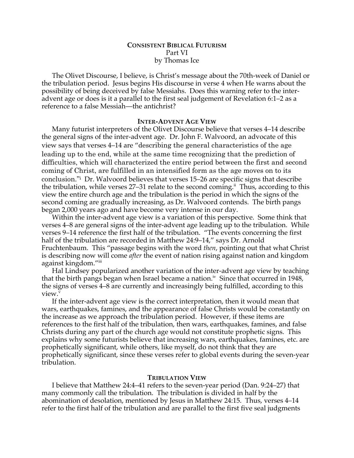# **CONSISTENT BIBLICAL FUTURISM** Part VI by Thomas Ice

The Olivet Discourse, I believe, is Christ's message about the 70th-week of Daniel or the tribulation period. Jesus begins His discourse in verse 4 when He warns about the possibility of being deceived by false Messiahs. Does this warning refer to the interadvent age or does is it a parallel to the first seal judgement of Revelation 6:1–2 as a reference to a false Messiah—the antichrist?

### **INTER-ADVENT AGE VIEW**

Many futurist interpreters of the Olivet Discourse believe that verses 4–14 describe the general signs of the inter-advent age. Dr. John F. Walvoord, an advocate of this view says that verses 4–14 are "describing the general characteristics of the age leading up to the end, while at the same time recognizing that the prediction of difficulties, which will characterized the entire period between the first and second coming of Christ, are fulfilled in an intensified form as the age moves on to its conclusion."i Dr. Walvoord believes that verses 15–26 are specific signs that describe the tribulation, while verses 27–31 relate to the second coming.<sup>ii</sup> Thus, according to this view the entire church age and the tribulation is the period in which the signs of the second coming are gradually increasing, as Dr. Walvoord contends. The birth pangs began 2,000 years ago and have become very intense in our day.

Within the inter-advent age view is a variation of this perspective. Some think that verses 4–8 are general signs of the inter-advent age leading up to the tribulation. While verses 9–14 reference the first half of the tribulation. "The events concerning the first half of the tribulation are recorded in Matthew 24:9–14," says Dr. Arnold Fruchtenbaum. This "passage begins with the word *then*, pointing out that what Christ is describing now will come *after* the event of nation rising against nation and kingdom against kingdom."iii

Hal Lindsey popularized another variation of the inter-advent age view by teaching that the birth pangs began when Israel became a nation.<sup>iv</sup> Since that occurred in 1948, the signs of verses 4–8 are currently and increasingly being fulfilled, according to this view.

If the inter-advent age view is the correct interpretation, then it would mean that wars, earthquakes, famines, and the appearance of false Christs would be constantly on the increase as we approach the tribulation period. However, if these items are references to the first half of the tribulation, then wars, earthquakes, famines, and false Christs during any part of the church age would not constitute prophetic signs. This explains why some futurists believe that increasing wars, earthquakes, famines, etc. are prophetically significant, while others, like myself, do not think that they are prophetically significant, since these verses refer to global events during the seven-year tribulation.

#### **TRIBULATION VIEW**

I believe that Matthew 24:4–41 refers to the seven-year period (Dan. 9:24–27) that many commonly call the tribulation. The tribulation is divided in half by the abomination of desolation, mentioned by Jesus in Matthew 24:15. Thus, verses 4–14 refer to the first half of the tribulation and are parallel to the first five seal judgments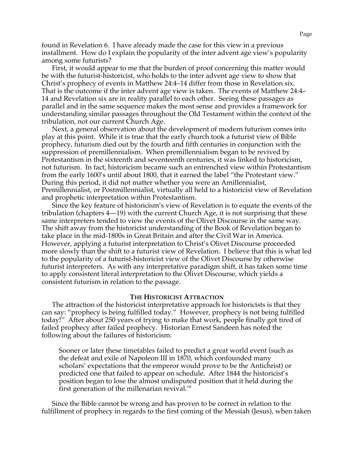found in Revelation 6. I have already made the case for this view in a previous installment. How do I explain the popularity of the inter advent age view's popularity among some futurists?

First, it would appear to me that the burden of proof concerning this matter would be with the futurist-historicist, who holds to the inter advent age view to show that Christ's prophecy of events in Matthew 24:4–14 differ from those in Revelation six. That is the outcome if the inter advent age view is taken. The events of Matthew 24:4– 14 and Revelation six are in reality parallel to each other. Seeing these passages as parallel and in the same sequence makes the most sense and provides a framework for understanding similar passages throughout the Old Testament within the context of the tribulation, not our current Church Age.

Next, a general observation about the development of modern futurism comes into play at this point. While it is true that the early church took a futurist view of Bible prophecy, futurism died out by the fourth and fifth centuries in conjunction with the suppression of premillennialism. When premillennialism began to be revived by Protestantism in the sixteenth and seventeenth centuries, it was linked to historicism, not futurism. In fact, historicism became such an entrenched view within Protestantism from the early 1600's until about 1800, that it earned the label "the Protestant view." During this period, it did not matter whether you were an Amillennialist, Premillennialist, or Postmillennialist, virtually all held to a historicist view of Revelation and prophetic interpretation within Protestantism.

Since the key feature of historicism's view of Revelation is to equate the events of the tribulation (chapters 4—19) with the current Church Age, it is not surprising that these same interpreters tended to view the events of the Olivet Discourse in the same way. The shift away from the historicist understanding of the Book of Revelation began to take place in the mid-1800s in Great Britain and after the Civil War in America. However, applying a futurist interpretation to Christ's Olivet Discourse proceeded more slowly than the shift to a futurist view of Revelation. I believe that this is what led to the popularity of a futurist-historicist view of the Olivet Discourse by otherwise futurist interpreters. As with any interpretative paradigm shift, it has taken some time to apply consistent literal interpretation to the Olivet Discourse, which yields a consistent futurism in relation to the passage.

## **THE HISTORICIST ATTRACTION**

The attraction of the historicist interpretative approach for historicists is that they can say: "prophecy is being fulfilled today." However, prophecy is not being fulfilled today!<sup>vi</sup> After about 250 years of trying to make that work, people finally got tired of failed prophecy after failed prophecy. Historian Ernest Sandeen has noted the following about the failures of historicism:

Sooner or later these timetables failed to predict a great world event (such as the defeat and exile of Napoleon III in 1870, which confounded many scholars' expectations that the emperor would prove to be the Antichrist) or predicted one that failed to appear on schedule. After 1844 the historicist's position began to lose the almost undisputed position that it held during the first generation of the millenarian revival.<sup>vii</sup>

Since the Bible cannot be wrong and has proven to be correct in relation to the fulfillment of prophecy in regards to the first coming of the Messiah (Jesus), when taken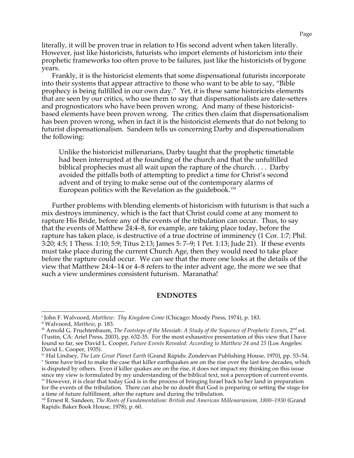literally, it will be proven true in relation to His second advent when taken literally. However, just like historicists, futurists who import elements of historicism into their prophetic frameworks too often prove to be failures, just like the historicists of bygone years.

Frankly, it is the historicist elements that some dispensational futurists incorporate into their systems that appear attractive to those who want to be able to say, "Bible prophecy is being fulfilled in our own day." Yet, it is these same historicists elements that are seen by our critics, who use them to say that dispensationalists are date-setters and prognosticators who have been proven wrong. And many of these historicistbased elements have been proven wrong. The critics then claim that dispensationalism has been proven wrong, when in fact it is the historicist elements that do not belong to futurist dispensationalism. Sandeen tells us concerning Darby and dispensationalism the following:

Unlike the historicist millenarians, Darby taught that the prophetic timetable had been interrupted at the founding of the church and that the unfulfilled biblical prophecies must all wait upon the rapture of the church. . . . Darby avoided the pitfalls both of attempting to predict a time for Christ's second advent and of trying to make sense out of the contemporary alarms of European politics with the Revelation as the guidebook.<sup>viii</sup>

Further problems with blending elements of historicism with futurism is that such a mix destroys imminency, which is the fact that Christ could come at any moment to rapture His Bride, before any of the events of the tribulation can occur. Thus, to say that the events of Matthew 24:4–8, for example, are taking place today, before the rapture has taken place, is destructive of a true doctrine of imminency (1 Cor. 1:7; Phil. 3:20; 4:5; 1 Thess. 1:10; 5:9; Titus 2:13; James 5: 7–9; 1 Pet. 1:13; Jude 21). If these events must take place during the current Church Age, then they would need to take place before the rapture could occur. We can see that the more one looks at the details of the view that Matthew 24:4–14 or 4–8 refers to the inter advent age, the more we see that such a view undermines consistent futurism. Maranatha!

## **ENDNOTES**

<sup>&</sup>lt;sup>i</sup> John F. Walvoord, Matthew: *Thy Kingdom Come* (Chicago: Moody Press, 1974), p. 183.<br><sup>ii</sup> Walvoord, Matthew, p. 183.<br><sup>ii</sup> Arnold G. Fruchtenbaum, *The Footsteps of the Messiah: A Study of the Sequence of Prophetic Event* 

<sup>(</sup>Tustin, CA: Ariel Press, 2003), pp. 632-35. For the most exhaustive presentation of this view that I have found so far, see David L. Cooper, *Future Events Revealed: According to Matthew 24 and 25* (Los Angeles: David L. Cooper, 1935).<br><sup>iv</sup> Hal Lindsey, *The Late Great Planet Earth* (Grand Rapids: Zondervan Publishing House, 1970), pp. 53–54.

<sup>&</sup>lt;sup>v</sup> Some have tried to make the case that killer earthquakes are on the rise over the last few decades, which is disputed by others. Even if killer quakes are on the rise, it does not impact my thinking on this issue since my view is formulated by my understanding of the biblical text, not a perception of current events. vi However, it is clear that today God is in the process of bringing Israel back to her land in preparation

for the events of the tribulation. There can also be no doubt that God is preparing or setting the stage for a time of future fulfillment, after the rapture and during the tribulation.

vii Ernest R. Sandeen, *The Roots of Fundamentalism: British and American Millenarianism, 1800–1930* (Grand Rapids: Baker Book House, 1978), p. 60.